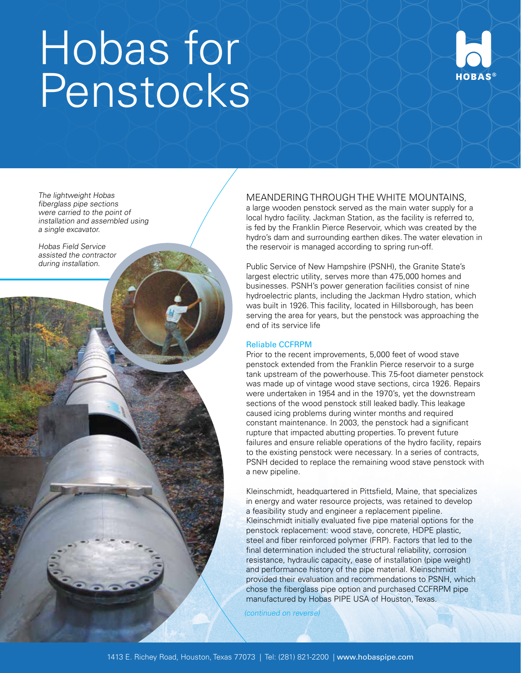# Hobas for Penstocks



The lightweight Hobas fiberglass pipe sections were carried to the point of installation and assembled using a single excavator.

Hobas Field Service assisted the contractor during installation.

# MEANDERING THROUGH THE WHITE MOUNTAINS,

a large wooden penstock served as the main water supply for a local hydro facility. Jackman Station, as the facility is referred to, is fed by the Franklin Pierce Reservoir, which was created by the hydro's dam and surrounding earthen dikes. The water elevation in the reservoir is managed according to spring run-off.

Public Service of New Hampshire (PSNH), the Granite State's largest electric utility, serves more than 475,000 homes and businesses. PSNH's power generation facilities consist of nine hydroelectric plants, including the Jackman Hydro station, which was built in 1926. This facility, located in Hillsborough, has been serving the area for years, but the penstock was approaching the end of its service life

## Reliable CCFRPM

Prior to the recent improvements, 5,000 feet of wood stave penstock extended from the Franklin Pierce reservoir to a surge tank upstream of the powerhouse. This 7.5-foot diameter penstock was made up of vintage wood stave sections, circa 1926. Repairs were undertaken in 1954 and in the 1970's, yet the downstream sections of the wood penstock still leaked badly. This leakage caused icing problems during winter months and required constant maintenance. In 2003, the penstock had a significant rupture that impacted abutting properties. To prevent future failures and ensure reliable operations of the hydro facility, repairs to the existing penstock were necessary. In a series of contracts, PSNH decided to replace the remaining wood stave penstock with a new pipeline.

Kleinschmidt, headquartered in Pittsfield, Maine, that specializes in energy and water resource projects, was retained to develop a feasibility study and engineer a replacement pipeline. Kleinschmidt initially evaluated five pipe material options for the penstock replacement: wood stave, concrete, HDPE plastic, steel and fiber reinforced polymer (FRP). Factors that led to the final determination included the structural reliability, corrosion resistance, hydraulic capacity, ease of installation (pipe weight) and performance history of the pipe material. Kleinschmidt provided their evaluation and recommendations to PSNH, which chose the fiberglass pipe option and purchased CCFRPM pipe manufactured by Hobas PIPE USA of Houston, Texas.

(continued on reverse)